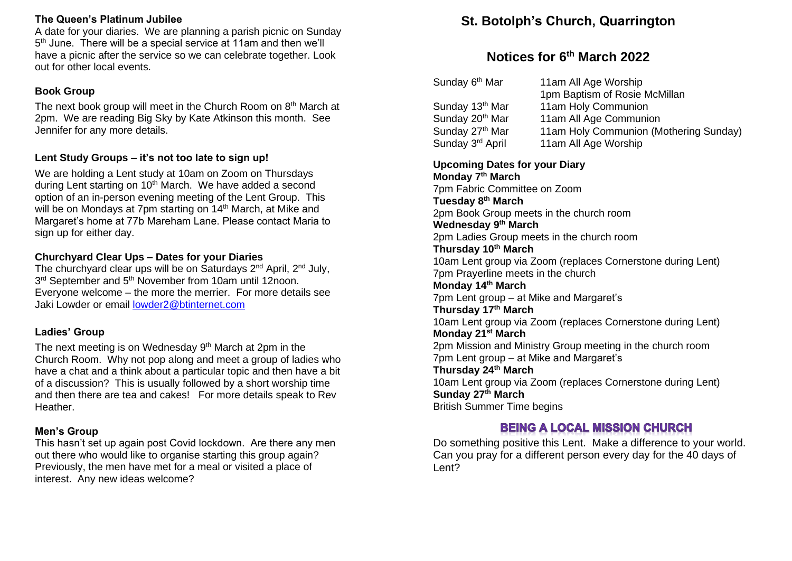### **The Queen's Platinum Jubilee**

A date for your diaries. We are planning a parish picnic on Sunday 5<sup>th</sup> June. There will be a special service at 11am and then we'll have a picnic after the service so we can celebrate together. Look out for other local events.

## **Book Group**

The next book group will meet in the Church Room on  $8<sup>th</sup>$  March at 2pm. We are reading Big Sky by Kate Atkinson this month. See Jennifer for any more details.

## **Lent Study Groups – it's not too late to sign up!**

We are holding a Lent study at 10am on Zoom on Thursdays during Lent starting on 10<sup>th</sup> March. We have added a second option of an in-person evening meeting of the Lent Group. This will be on Mondays at 7pm starting on 14<sup>th</sup> March, at Mike and Margaret's home at 77b Mareham Lane. Please contact Maria to sign up for either day.

## **Churchyard Clear Ups – Dates for your Diaries**

The churchyard clear ups will be on Saturdays  $2^{nd}$  April,  $2^{nd}$  July, 3<sup>rd</sup> September and 5<sup>th</sup> November from 10am until 12noon. Everyone welcome – the more the merrier. For more details see Jaki Lowder or email [lowder2@btinternet.com](mailto:lowder2@btinternet.com)

## **Ladies' Group**

The next meeting is on Wednesday  $9<sup>th</sup>$  March at 2pm in the Church Room. Why not pop along and meet a group of ladies who have a chat and a think about a particular topic and then have a bit of a discussion? This is usually followed by a short worship time and then there are tea and cakes! For more details speak to Rev Heather.

## **Men's Group**

This hasn't set up again post Covid lockdown. Are there any men out there who would like to organise starting this group again? Previously, the men have met for a meal or visited a place of interest. Any new ideas welcome?

# **St. Botolph's Church, Quarrington**

# **Notices for 6 th March 2022**

| 11am All Age Worship                   |
|----------------------------------------|
| 1pm Baptism of Rosie McMillan          |
| 11am Holy Communion                    |
| 11am All Age Communion                 |
| 11am Holy Communion (Mothering Sunday) |
| 11am All Age Worship                   |
|                                        |

## **Upcoming Dates for your Diary**

**Monday 7th March** 7pm Fabric Committee on Zoom **Tuesday 8th March** 2pm Book Group meets in the church room **Wednesday 9th March** 2pm Ladies Group meets in the church room **Thursday 10th March** 10am Lent group via Zoom (replaces Cornerstone during Lent) 7pm Prayerline meets in the church **Monday 14th March** 7pm Lent group – at Mike and Margaret's **Thursday 17th March** 10am Lent group via Zoom (replaces Cornerstone during Lent) **Monday 21st March** 2pm Mission and Ministry Group meeting in the church room 7pm Lent group – at Mike and Margaret's **Thursday 24th March** 10am Lent group via Zoom (replaces Cornerstone during Lent) **Sunday 27th March** British Summer Time begins

## **BEING A LOCAL MISSION CHURCH**

Do something positive this Lent. Make a difference to your world. Can you pray for a different person every day for the 40 days of Lent?